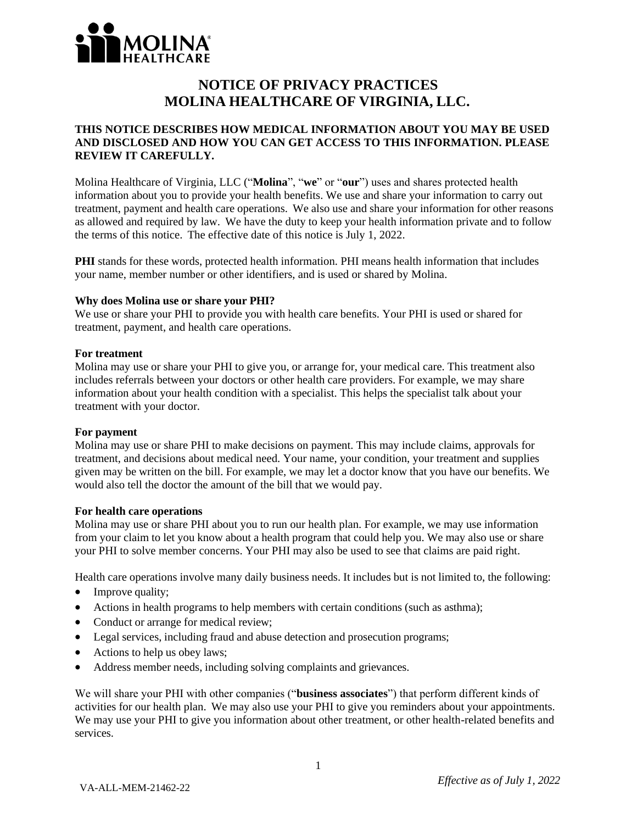

# **NOTICE OF PRIVACY PRACTICES MOLINA HEALTHCARE OF VIRGINIA, LLC.**

# **THIS NOTICE DESCRIBES HOW MEDICAL INFORMATION ABOUT YOU MAY BE USED AND DISCLOSED AND HOW YOU CAN GET ACCESS TO THIS INFORMATION. PLEASE REVIEW IT CAREFULLY.**

Molina Healthcare of Virginia, LLC ("**Molina**", "**we**" or "**our**") uses and shares protected health information about you to provide your health benefits. We use and share your information to carry out treatment, payment and health care operations. We also use and share your information for other reasons as allowed and required by law. We have the duty to keep your health information private and to follow the terms of this notice. The effective date of this notice is July 1, 2022.

**PHI** stands for these words, protected health information. PHI means health information that includes your name, member number or other identifiers, and is used or shared by Molina.

#### **Why does Molina use or share your PHI?**

We use or share your PHI to provide you with health care benefits. Your PHI is used or shared for treatment, payment, and health care operations.

#### **For treatment**

Molina may use or share your PHI to give you, or arrange for, your medical care. This treatment also includes referrals between your doctors or other health care providers. For example, we may share information about your health condition with a specialist. This helps the specialist talk about your treatment with your doctor.

#### **For payment**

Molina may use or share PHI to make decisions on payment. This may include claims, approvals for treatment, and decisions about medical need. Your name, your condition, your treatment and supplies given may be written on the bill. For example, we may let a doctor know that you have our benefits. We would also tell the doctor the amount of the bill that we would pay.

#### **For health care operations**

Molina may use or share PHI about you to run our health plan. For example, we may use information from your claim to let you know about a health program that could help you. We may also use or share your PHI to solve member concerns. Your PHI may also be used to see that claims are paid right.

Health care operations involve many daily business needs. It includes but is not limited to, the following:

- Improve quality;
- Actions in health programs to help members with certain conditions (such as asthma);
- Conduct or arrange for medical review;
- Legal services, including fraud and abuse detection and prosecution programs;
- Actions to help us obey laws;
- Address member needs, including solving complaints and grievances.

We will share your PHI with other companies ("**business associates**") that perform different kinds of activities for our health plan. We may also use your PHI to give you reminders about your appointments. We may use your PHI to give you information about other treatment, or other health-related benefits and services.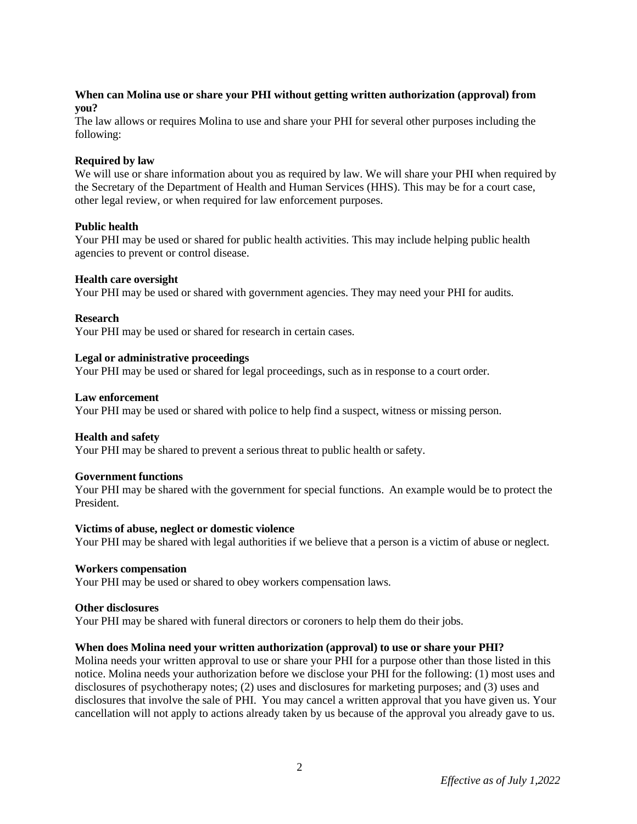# **When can Molina use or share your PHI without getting written authorization (approval) from you?**

The law allows or requires Molina to use and share your PHI for several other purposes including the following:

# **Required by law**

We will use or share information about you as required by law. We will share your PHI when required by the Secretary of the Department of Health and Human Services (HHS). This may be for a court case, other legal review, or when required for law enforcement purposes.

# **Public health**

Your PHI may be used or shared for public health activities. This may include helping public health agencies to prevent or control disease.

# **Health care oversight**

Your PHI may be used or shared with government agencies. They may need your PHI for audits.

# **Research**

Your PHI may be used or shared for research in certain cases.

# **Legal or administrative proceedings**

Your PHI may be used or shared for legal proceedings, such as in response to a court order.

#### **Law enforcement**

Your PHI may be used or shared with police to help find a suspect, witness or missing person.

# **Health and safety**

Your PHI may be shared to prevent a serious threat to public health or safety.

# **Government functions**

Your PHI may be shared with the government for special functions. An example would be to protect the President.

#### **Victims of abuse, neglect or domestic violence**

Your PHI may be shared with legal authorities if we believe that a person is a victim of abuse or neglect.

#### **Workers compensation**

Your PHI may be used or shared to obey workers compensation laws.

#### **Other disclosures**

Your PHI may be shared with funeral directors or coroners to help them do their jobs.

# **When does Molina need your written authorization (approval) to use or share your PHI?**

Molina needs your written approval to use or share your PHI for a purpose other than those listed in this notice. Molina needs your authorization before we disclose your PHI for the following: (1) most uses and disclosures of psychotherapy notes; (2) uses and disclosures for marketing purposes; and (3) uses and disclosures that involve the sale of PHI. You may cancel a written approval that you have given us. Your cancellation will not apply to actions already taken by us because of the approval you already gave to us.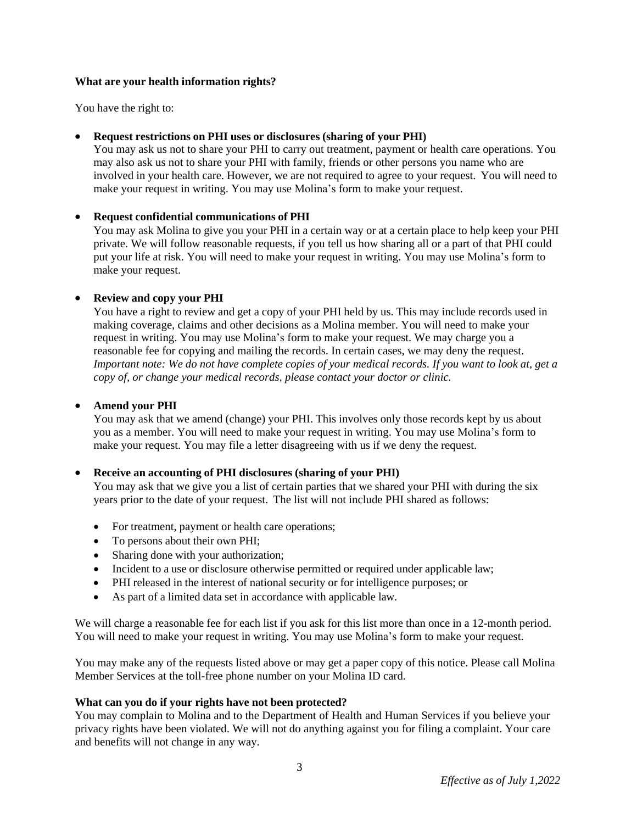# **What are your health information rights?**

You have the right to:

# • **Request restrictions on PHI uses or disclosures (sharing of your PHI)**

You may ask us not to share your PHI to carry out treatment, payment or health care operations. You may also ask us not to share your PHI with family, friends or other persons you name who are involved in your health care. However, we are not required to agree to your request. You will need to make your request in writing. You may use Molina's form to make your request.

# • **Request confidential communications of PHI**

You may ask Molina to give you your PHI in a certain way or at a certain place to help keep your PHI private. We will follow reasonable requests, if you tell us how sharing all or a part of that PHI could put your life at risk. You will need to make your request in writing. You may use Molina's form to make your request.

# • **Review and copy your PHI**

You have a right to review and get a copy of your PHI held by us. This may include records used in making coverage, claims and other decisions as a Molina member. You will need to make your request in writing. You may use Molina's form to make your request. We may charge you a reasonable fee for copying and mailing the records. In certain cases, we may deny the request. Important note: We do not have complete copies of your medical records. If you want to look at, get a *copy of, or change your medical records, please contact your doctor or clinic.*

# • **Amend your PHI**

You may ask that we amend (change) your PHI. This involves only those records kept by us about you as a member. You will need to make your request in writing. You may use Molina's form to make your request. You may file a letter disagreeing with us if we deny the request.

# • **Receive an accounting of PHI disclosures (sharing of your PHI)**

You may ask that we give you a list of certain parties that we shared your PHI with during the six years prior to the date of your request. The list will not include PHI shared as follows:

- For treatment, payment or health care operations;
- To persons about their own PHI;
- Sharing done with your authorization;
- Incident to a use or disclosure otherwise permitted or required under applicable law;
- PHI released in the interest of national security or for intelligence purposes; or
- As part of a limited data set in accordance with applicable law.

We will charge a reasonable fee for each list if you ask for this list more than once in a 12-month period. You will need to make your request in writing. You may use Molina's form to make your request.

You may make any of the requests listed above or may get a paper copy of this notice. Please call Molina Member Services at the toll-free phone number on your Molina ID card.

# **What can you do if your rights have not been protected?**

You may complain to Molina and to the Department of Health and Human Services if you believe your privacy rights have been violated. We will not do anything against you for filing a complaint. Your care and benefits will not change in any way.